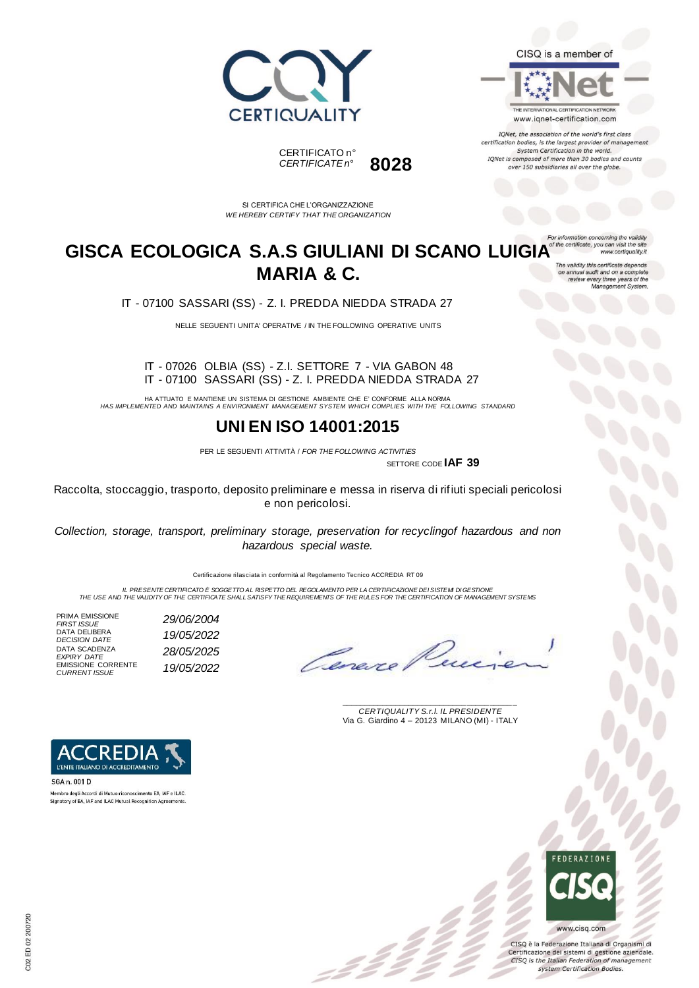



IQNet, the association of the world's first class certification bodies, is the largest provider of management System Certification in the world. IQNet is composed of more than 30 bodies and counts over 150 subsidiaries all over the globe.

ion concerning the

www.certiquality.it





SI CERTIFICA CHE L'ORGANIZZAZIONE *WE HEREBY CERTIFY THAT THE ORGANIZATION*

### GISCA ECOLOGICA S.A.S GIULIANI DI SCANO LUIGIA<sup>of the certificate, you can visit the ste</sup> **MARIA & C.** on annual audit and on a complete<br>review every three years of the<br>Management System.

IT - 07100 SASSARI (SS) - Z. I. PREDDA NIEDDA STRADA 27

NELLE SEGUENTI UNITA' OPERATIVE / IN THE FOLLOWING OPERATIVE UNITS

#### IT - 07026 OLBIA (SS) - Z.I. SETTORE 7 - VIA GABON 48 IT - 07100 SASSARI (SS) - Z. I. PREDDA NIEDDA STRADA 27

HA ATTUATO E MANTIENE UN SISTEMA DI GESTIONE AMBIENTE CHE E' CONFORME ALLA NORMA *HAS IMPLEMENTED AND MAINTAINS A ENVIRONMENT MANAGEMENT SYSTEM WHICH COMPLIES WITH THE FOLLOWING STANDARD*

### **UNI EN ISO 14001:2015**

PER LE SEGUENTI ATTIVITÀ / *FOR THE FOLLOWING ACTIVITIES* SETTORE CODE **IAF 39**

 $\mathcal{L}$ 

Raccolta, stoccaggio, trasporto, deposito preliminare e messa in riserva di rifiuti speciali pericolosi e non pericolosi.

*Collection, storage, transport, preliminary storage, preservation for recyclingof hazardous and non hazardous special waste.*

Certificazione rilasciata in conformità al Regolamento Tecnico ACCREDIA RT 09

IL PRESENTE CERTIFICATO E SOGGETTO AL RISPETTO DEL REGOLAMENTO PER LA CERTIFICAZIONE DEI SISTEMI DI GESTIONE<br>THE USE AND THE VALIDITY OF THE CERTIFICATE SHALL SATISFY THE REQUIREMENTS OF THE RULES FOR THE CERTIFICATION OF

PRIMA EMISSIONE<br>FIRST ISSUE DATA DELIBERA DATA SCADENZA *EXPIRY DATE 28/05/2025* EMISSIONE CORRENTE *CURRENT ISSUE 19/05/2022*

*DECISION DATE 19/05/2022*

*FIRST ISSUE 29/06/2004*

Cenere.

\_\_\_\_\_\_\_\_\_\_\_\_\_\_\_\_\_\_\_\_\_\_\_\_\_\_\_\_\_\_\_\_\_\_\_\_\_\_\_ *CERTIQUALITY S.r.l. IL PRESIDENTE* Via G. Giardino 4 – 20123 MILANO (MI) - ITALY



CISQ è la Federazione Italiana di Organismi di Certificazione dei sistemi di gestione aziendale. CISQ is the Italian Federation of management system Certification Bodies.



SGA n. 001 D Membro degli Accordi di Mutuo riconoscimento EA, IAF e ILAC.<br>Signatory of EA, IAF and ILAC Mutual Recognition Agreements